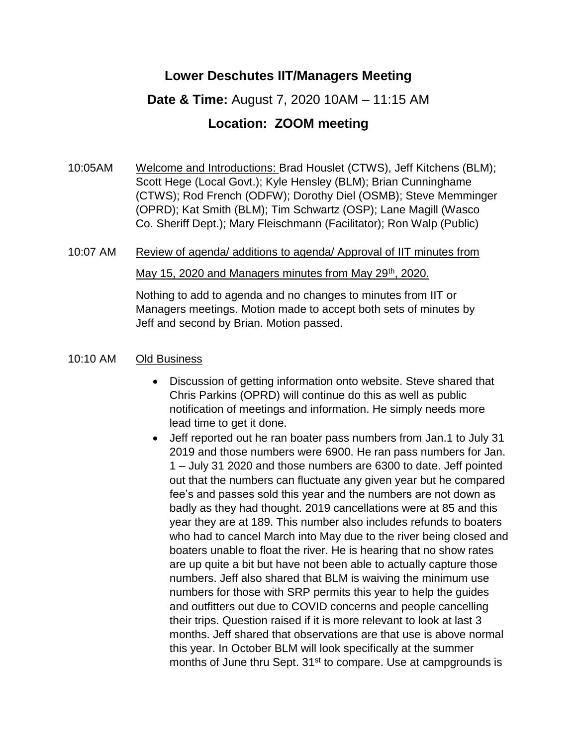## **Lower Deschutes IIT/Managers Meeting**

## **Date & Time:** August 7, 2020 10AM – 11:15 AM

## **Location: ZOOM meeting**

10:05AM Welcome and Introductions: Brad Houslet (CTWS), Jeff Kitchens (BLM); Scott Hege (Local Govt.); Kyle Hensley (BLM); Brian Cunninghame (CTWS); Rod French (ODFW); Dorothy Diel (OSMB); Steve Memminger (OPRD); Kat Smith (BLM); Tim Schwartz (OSP); Lane Magill (Wasco Co. Sheriff Dept.); Mary Fleischmann (Facilitator); Ron Walp (Public)

# 10:07 AM Review of agenda/ additions to agenda/ Approval of IIT minutes from

#### May 15, 2020 and Managers minutes from May 29<sup>th</sup>, 2020.

Nothing to add to agenda and no changes to minutes from IIT or Managers meetings. Motion made to accept both sets of minutes by Jeff and second by Brian. Motion passed.

#### 10:10 AM Old Business

- Discussion of getting information onto website. Steve shared that Chris Parkins (OPRD) will continue do this as well as public notification of meetings and information. He simply needs more lead time to get it done.
- Jeff reported out he ran boater pass numbers from Jan.1 to July 31 2019 and those numbers were 6900. He ran pass numbers for Jan. 1 – July 31 2020 and those numbers are 6300 to date. Jeff pointed out that the numbers can fluctuate any given year but he compared fee's and passes sold this year and the numbers are not down as badly as they had thought. 2019 cancellations were at 85 and this year they are at 189. This number also includes refunds to boaters who had to cancel March into May due to the river being closed and boaters unable to float the river. He is hearing that no show rates are up quite a bit but have not been able to actually capture those numbers. Jeff also shared that BLM is waiving the minimum use numbers for those with SRP permits this year to help the guides and outfitters out due to COVID concerns and people cancelling their trips. Question raised if it is more relevant to look at last 3 months. Jeff shared that observations are that use is above normal this year. In October BLM will look specifically at the summer months of June thru Sept. 31<sup>st</sup> to compare. Use at campgrounds is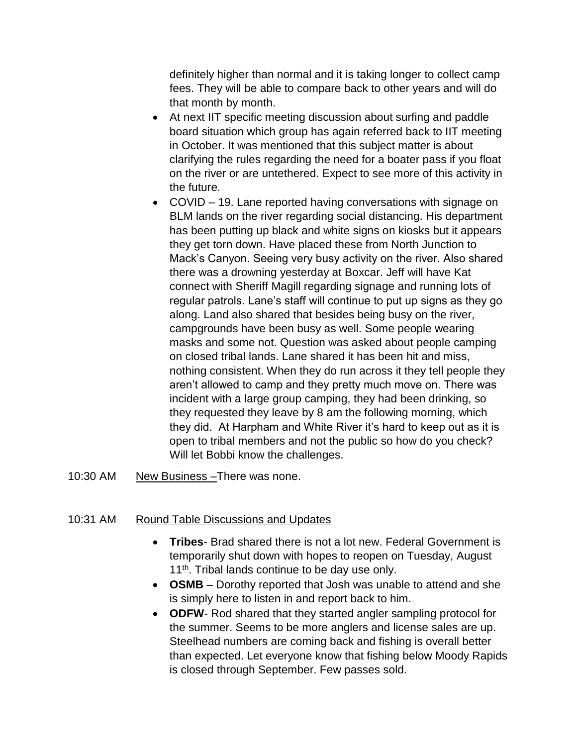definitely higher than normal and it is taking longer to collect camp fees. They will be able to compare back to other years and will do that month by month.

- At next IIT specific meeting discussion about surfing and paddle board situation which group has again referred back to IIT meeting in October. It was mentioned that this subject matter is about clarifying the rules regarding the need for a boater pass if you float on the river or are untethered. Expect to see more of this activity in the future.
- COVID 19. Lane reported having conversations with signage on BLM lands on the river regarding social distancing. His department has been putting up black and white signs on kiosks but it appears they get torn down. Have placed these from North Junction to Mack's Canyon. Seeing very busy activity on the river. Also shared there was a drowning yesterday at Boxcar. Jeff will have Kat connect with Sheriff Magill regarding signage and running lots of regular patrols. Lane's staff will continue to put up signs as they go along. Land also shared that besides being busy on the river, campgrounds have been busy as well. Some people wearing masks and some not. Question was asked about people camping on closed tribal lands. Lane shared it has been hit and miss, nothing consistent. When they do run across it they tell people they aren't allowed to camp and they pretty much move on. There was incident with a large group camping, they had been drinking, so they requested they leave by 8 am the following morning, which they did. At Harpham and White River it's hard to keep out as it is open to tribal members and not the public so how do you check? Will let Bobbi know the challenges.
- 10:30 AM New Business –There was none.

### 10:31 AM Round Table Discussions and Updates

- **Tribes** Brad shared there is not a lot new. Federal Government is temporarily shut down with hopes to reopen on Tuesday, August 11<sup>th</sup>. Tribal lands continue to be day use only.
- **OSMB** Dorothy reported that Josh was unable to attend and she is simply here to listen in and report back to him.
- **ODFW** Rod shared that they started angler sampling protocol for the summer. Seems to be more anglers and license sales are up. Steelhead numbers are coming back and fishing is overall better than expected. Let everyone know that fishing below Moody Rapids is closed through September. Few passes sold.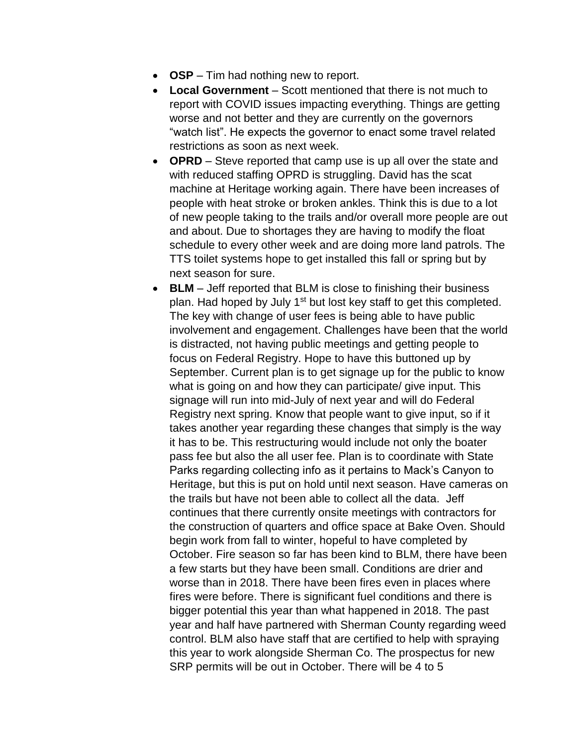- **OSP** Tim had nothing new to report.
- **Local Government** Scott mentioned that there is not much to report with COVID issues impacting everything. Things are getting worse and not better and they are currently on the governors "watch list". He expects the governor to enact some travel related restrictions as soon as next week.
- **OPRD** Steve reported that camp use is up all over the state and with reduced staffing OPRD is struggling. David has the scat machine at Heritage working again. There have been increases of people with heat stroke or broken ankles. Think this is due to a lot of new people taking to the trails and/or overall more people are out and about. Due to shortages they are having to modify the float schedule to every other week and are doing more land patrols. The TTS toilet systems hope to get installed this fall or spring but by next season for sure.
- **BLM**  Jeff reported that BLM is close to finishing their business plan. Had hoped by July 1<sup>st</sup> but lost key staff to get this completed. The key with change of user fees is being able to have public involvement and engagement. Challenges have been that the world is distracted, not having public meetings and getting people to focus on Federal Registry. Hope to have this buttoned up by September. Current plan is to get signage up for the public to know what is going on and how they can participate/ give input. This signage will run into mid-July of next year and will do Federal Registry next spring. Know that people want to give input, so if it takes another year regarding these changes that simply is the way it has to be. This restructuring would include not only the boater pass fee but also the all user fee. Plan is to coordinate with State Parks regarding collecting info as it pertains to Mack's Canyon to Heritage, but this is put on hold until next season. Have cameras on the trails but have not been able to collect all the data. Jeff continues that there currently onsite meetings with contractors for the construction of quarters and office space at Bake Oven. Should begin work from fall to winter, hopeful to have completed by October. Fire season so far has been kind to BLM, there have been a few starts but they have been small. Conditions are drier and worse than in 2018. There have been fires even in places where fires were before. There is significant fuel conditions and there is bigger potential this year than what happened in 2018. The past year and half have partnered with Sherman County regarding weed control. BLM also have staff that are certified to help with spraying this year to work alongside Sherman Co. The prospectus for new SRP permits will be out in October. There will be 4 to 5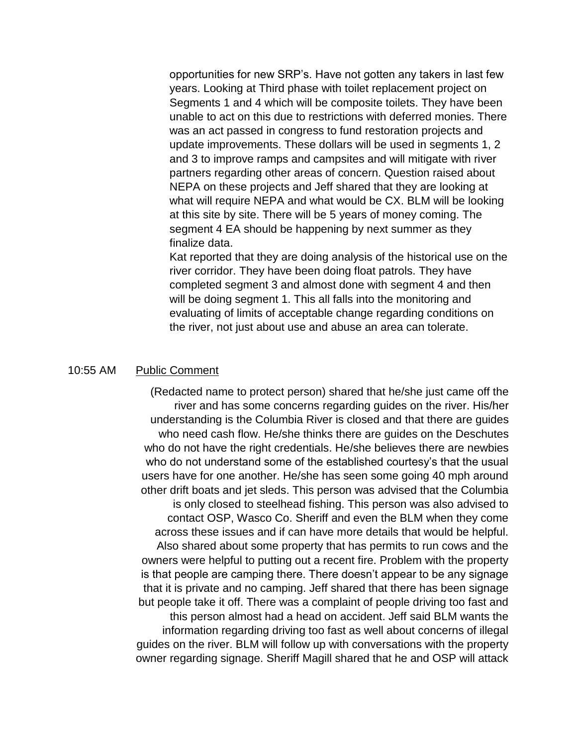opportunities for new SRP's. Have not gotten any takers in last few years. Looking at Third phase with toilet replacement project on Segments 1 and 4 which will be composite toilets. They have been unable to act on this due to restrictions with deferred monies. There was an act passed in congress to fund restoration projects and update improvements. These dollars will be used in segments 1, 2 and 3 to improve ramps and campsites and will mitigate with river partners regarding other areas of concern. Question raised about NEPA on these projects and Jeff shared that they are looking at what will require NEPA and what would be CX. BLM will be looking at this site by site. There will be 5 years of money coming. The segment 4 EA should be happening by next summer as they finalize data.

Kat reported that they are doing analysis of the historical use on the river corridor. They have been doing float patrols. They have completed segment 3 and almost done with segment 4 and then will be doing segment 1. This all falls into the monitoring and evaluating of limits of acceptable change regarding conditions on the river, not just about use and abuse an area can tolerate.

#### 10:55 AM Public Comment

(Redacted name to protect person) shared that he/she just came off the river and has some concerns regarding guides on the river. His/her understanding is the Columbia River is closed and that there are guides who need cash flow. He/she thinks there are guides on the Deschutes who do not have the right credentials. He/she believes there are newbies who do not understand some of the established courtesy's that the usual users have for one another. He/she has seen some going 40 mph around other drift boats and jet sleds. This person was advised that the Columbia is only closed to steelhead fishing. This person was also advised to contact OSP, Wasco Co. Sheriff and even the BLM when they come across these issues and if can have more details that would be helpful. Also shared about some property that has permits to run cows and the owners were helpful to putting out a recent fire. Problem with the property is that people are camping there. There doesn't appear to be any signage that it is private and no camping. Jeff shared that there has been signage but people take it off. There was a complaint of people driving too fast and this person almost had a head on accident. Jeff said BLM wants the information regarding driving too fast as well about concerns of illegal guides on the river. BLM will follow up with conversations with the property owner regarding signage. Sheriff Magill shared that he and OSP will attack